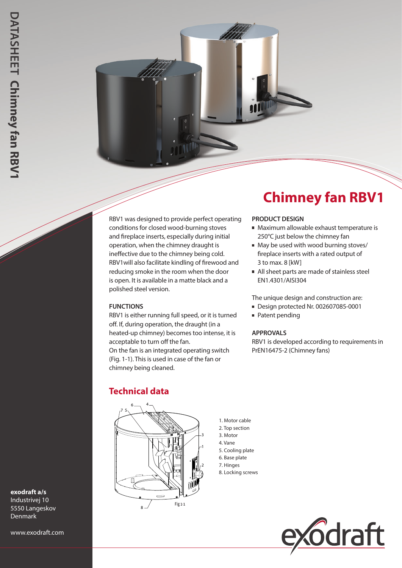

RBV1 was designed to provide perfect operating conditions for closed wood-burning stoves and fireplace inserts, especially during initial operation, when the chimney draught is ineffective due to the chimney being cold. RBV1will also facilitate kindling of firewood and reducing smoke in the room when the door is open. It is available in a matte black and a polished steel version.

### **FUNCTIONS**

RBV1 is either running full speed, or it is turned off. If, during operation, the draught (in a heated-up chimney) becomes too intense, it is acceptable to turn off the fan. On the fan is an integrated operating switch (Fig. 1-1). This is used in case of the fan or chimney being cleaned.

# **Chimney fan RBV1**

#### **PRODUCT DESIGN**

- Maximum allowable exhaust temperature is 250°C just below the chimney fan
- May be used with wood burning stoves/ fireplace inserts with a rated output of 3 to max. 8 [kW]
- All sheet parts are made of stainless steel EN1.4301/AISI304

The unique design and construction are:

- Design protected Nr. 002607085-0001
- Patent pending

#### **APPROVALS**

RBV1 is developed according to requirements in PrEN16475-2 (Chimney fans)

# **Technical data**



- 1. Motor cable 2. Top section
- 3. Motor
- 4. Vane
- 5. Cooling plate
- 6. Base plate
- 7. Hinges
- 8. Locking screws



# **exodraft a/s**

Industrivej 10 5550 Langeskov Denmark

www.exodraft.com